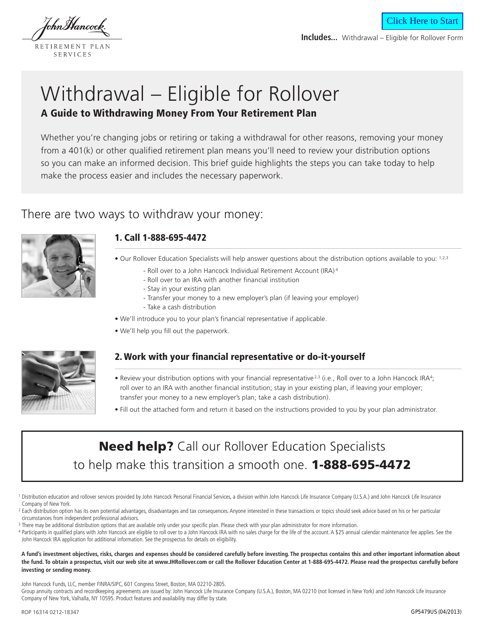lohnMancock

RETIREMENT PLAN SERVICES

**Includes...** Withdrawal – Eligible for Rollover Form

Click Here to Start

# Withdrawal – Eligible for Rollover **A Guide to Withdrawing Money From Your Retirement Plan**

Whether you're changing jobs or retiring or taking a withdrawal for other reasons, removing your money from a 401(k) or other qualified retirement plan means you'll need to review your distribution options so you can make an informed decision. This brief guide highlights the steps you can take today to help make the process easier and includes the necessary paperwork.

## There are two ways to withdraw your money:



## **1. Call 1-888-695-4472**

• Our Rollover Education Specialists will help answer questions about the distribution options available to you: 1,2,3

- Roll over to a John Hancock Individual Retirement Account (IRA) <sup>4</sup>
- Roll over to an IRA with another financial institution
- Stay in your existing plan
- Transfer your money to a new employer's plan (if leaving your employer)
- Take a cash distribution
- We'll introduce you to your plan's financial representative if applicable.
- We'll help you fill out the paperwork.



## **2. Work with your financial representative or do-it-yourself**

- Review your distribution options with your financial representative <sup>2,3</sup> (i.e., Roll over to a John Hancock IRA<sup>4</sup>; roll over to an IRA with another financial institution; stay in your existing plan, if leaving your employer; transfer your money to a new employer's plan; take a cash distribution).
- Fill out the attached form and return it based on the instructions provided to you by your plan administrator.

# **Need help?** Call our Rollover Education Specialists to help make this transition a smooth one. 1-888-695-4472

- <sup>1</sup> Distribution education and rollover services provided by John Hancock Personal Financial Services, a division within John Hancock Life Insurance Company (U.S.A.) and John Hancock Life Insurance Company of New York.
- <sup>2</sup> Each distribution option has its own potential advantages, disadvantages and tax consequences. Anyone interested in these transactions or topics should seek advice based on his or her particular circumstances from independent professional advisors.
- <sup>3</sup> There may be additional distribution options that are available only under your specific plan. Please check with your plan administrator for more information.
- 4 Participants in qualified plans with John Hancock are eligible to roll over to a John Hancock IRA with no sales charge for the life of the account. A \$25 annual calendar maintenance fee applies. See the John Hancock IRA application for additional information. See the prospectus for details on eligibility.

**A fund's investment objectives, risks, charges and expenses should be considered carefully before investing. The prospectus contains this and other important information about the fund. To obtain a prospectus, visit our web site at www.JHRollover.com or call the Rollover Education Center at 1-888-695-4472. Please read the prospectus carefully before investing or sending money.**

John Hancock Funds, LLC, member FINRA/SIPC, 601 Congress Street, Boston, MA 02210-2805.

Group annuity contracts and recordkeeping agreements are issued by: John Hancock Life Insurance Company (U.S.A.), Boston, MA 02210 (not licensed in New York) and John Hancock Life Insurance Company of New York, Valhalla, NY 10595. Product features and availability may differ by state.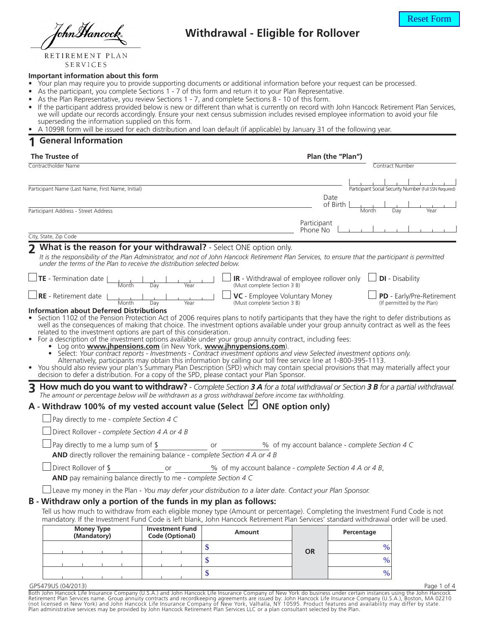TohnMancock

## **Withdrawal - Eligible for Rollover**

RETIREMENT PLAN SERVICES

#### **Important information about this form**

- Your plan may require you to provide supporting documents or additional information before your request can be processed.
- As the participant, you complete Sections 1 7 of this form and return it to your Plan Representative.
- As the Plan Representative, you review Sections 1 7, and complete Sections 8 10 of this form.
- If the participant address provided below is new or different than what is currently on record with John Hancock Retirement Plan Services, we will update our records accordingly. Ensure your next census submission includes revised employee information to avoid your file superseding the information supplied on this form.

• A 1099R form will be issued for each distribution and loan default (if applicable) by January 31 of the following year.

#### **1 General Information**

| The Trustee of                                                                                                                                                                                                                                                                                                                                                                                                                                                                                                                                                                                                                                                                                                                                                                                                                                                                                                                                                                                                                                       | Plan (the "Plan")                                                                                             |                         |                                                |                                                                |
|------------------------------------------------------------------------------------------------------------------------------------------------------------------------------------------------------------------------------------------------------------------------------------------------------------------------------------------------------------------------------------------------------------------------------------------------------------------------------------------------------------------------------------------------------------------------------------------------------------------------------------------------------------------------------------------------------------------------------------------------------------------------------------------------------------------------------------------------------------------------------------------------------------------------------------------------------------------------------------------------------------------------------------------------------|---------------------------------------------------------------------------------------------------------------|-------------------------|------------------------------------------------|----------------------------------------------------------------|
| Contractholder Name                                                                                                                                                                                                                                                                                                                                                                                                                                                                                                                                                                                                                                                                                                                                                                                                                                                                                                                                                                                                                                  |                                                                                                               |                         |                                                | Contract Number                                                |
| Participant Name (Last Name, First Name, Initial)                                                                                                                                                                                                                                                                                                                                                                                                                                                                                                                                                                                                                                                                                                                                                                                                                                                                                                                                                                                                    |                                                                                                               |                         | Date                                           | Participant Social Security Number (Full SSN Required)         |
| Participant Address - Street Address                                                                                                                                                                                                                                                                                                                                                                                                                                                                                                                                                                                                                                                                                                                                                                                                                                                                                                                                                                                                                 |                                                                                                               |                         | of Birth<br>Month                              | Day<br>Year                                                    |
|                                                                                                                                                                                                                                                                                                                                                                                                                                                                                                                                                                                                                                                                                                                                                                                                                                                                                                                                                                                                                                                      |                                                                                                               | Participant<br>Phone No |                                                |                                                                |
| City, State, Zip Code                                                                                                                                                                                                                                                                                                                                                                                                                                                                                                                                                                                                                                                                                                                                                                                                                                                                                                                                                                                                                                |                                                                                                               |                         |                                                |                                                                |
| 7 What is the reason for your withdrawal? - Select ONE option only.<br>It is the responsibility of the Plan Administrator, and not of John Hancock Retirement Plan Services, to ensure that the participant is permitted<br>under the terms of the Plan to receive the distribution selected below.                                                                                                                                                                                                                                                                                                                                                                                                                                                                                                                                                                                                                                                                                                                                                  |                                                                                                               |                         |                                                |                                                                |
| TE - Termination date  <br>Month<br>Day<br>Year                                                                                                                                                                                                                                                                                                                                                                                                                                                                                                                                                                                                                                                                                                                                                                                                                                                                                                                                                                                                      | <b>IR</b> - Withdrawal of employee rollover only $\Box$ <b>DI</b> - Disability<br>(Must complete Section 3 B) |                         |                                                |                                                                |
| RE - Retirement date<br>Month<br>Day<br>Year                                                                                                                                                                                                                                                                                                                                                                                                                                                                                                                                                                                                                                                                                                                                                                                                                                                                                                                                                                                                         | VC - Employee Voluntary Money<br>(Must complete Section 3 B)                                                  |                         |                                                | <b>PD</b> - Early/Pre-Retirement<br>(If permitted by the Plan) |
| Section 1102 of the Pension Protection Act of 2006 requires plans to notify participants that they have the right to defer distributions as<br>well as the consequences of making that choice. The investment options available under your group annuity contract as well as the fees<br>related to the investment options are part of this consideration.<br>For a description of the investment options available under your group annuity contract, including fees:<br>$\bullet$<br>Log onto <b>www.jhpensions.com</b> (in New York, www.jhnypensions.com).<br>Select: Your contract reports - Investments - Contract investment options and view Selected investment options only.<br>Alternatively, participants may obtain this information by calling our toll free service line at 1-800-395-1113.<br>• You should also review your plan's Summary Plan Description (SPD) which may contain special provisions that may materially affect your<br>decision to defer a distribution. For a copy of the SPD, please contact your Plan Sponsor. |                                                                                                               |                         |                                                |                                                                |
| How much do you want to withdraw? - Complete Section 3 A for a total withdrawal or Section 3 B for a partial withdrawal.<br>3<br>The amount or percentage below will be withdrawn as a gross withdrawal before income tax withholding.<br>A - Withdraw 100% of my vested account value (Select $\Box$ ONE option only)                                                                                                                                                                                                                                                                                                                                                                                                                                                                                                                                                                                                                                                                                                                               |                                                                                                               |                         |                                                |                                                                |
| Pay directly to me - complete Section 4 C                                                                                                                                                                                                                                                                                                                                                                                                                                                                                                                                                                                                                                                                                                                                                                                                                                                                                                                                                                                                            |                                                                                                               |                         |                                                |                                                                |
| Direct Rollover - complete Section 4 A or 4 B                                                                                                                                                                                                                                                                                                                                                                                                                                                                                                                                                                                                                                                                                                                                                                                                                                                                                                                                                                                                        |                                                                                                               |                         |                                                |                                                                |
| Pay directly to me a lump sum of \$<br>AND directly rollover the remaining balance - complete Section 4 A or 4 B                                                                                                                                                                                                                                                                                                                                                                                                                                                                                                                                                                                                                                                                                                                                                                                                                                                                                                                                     | or                                                                                                            |                         | % of my account balance - complete Section 4 C |                                                                |
| Direct Rollover of \$<br>or                                                                                                                                                                                                                                                                                                                                                                                                                                                                                                                                                                                                                                                                                                                                                                                                                                                                                                                                                                                                                          | % of my account balance - complete Section 4 A or 4 B,                                                        |                         |                                                |                                                                |
| AND pay remaining balance directly to me - complete Section 4 C                                                                                                                                                                                                                                                                                                                                                                                                                                                                                                                                                                                                                                                                                                                                                                                                                                                                                                                                                                                      |                                                                                                               |                         |                                                |                                                                |
| Leave my money in the Plan - You may defer your distribution to a later date. Contact your Plan Sponsor.<br>B - Withdraw only a portion of the funds in my plan as follows:                                                                                                                                                                                                                                                                                                                                                                                                                                                                                                                                                                                                                                                                                                                                                                                                                                                                          |                                                                                                               |                         |                                                |                                                                |
| Tell us how much to withdraw from each eligible money type (Amount or percentage). Completing the Investment Fund Code is not<br>mandatory. If the Investment Fund Code is left blank, John Hancock Retirement Plan Services' standard withdrawal order will be used.                                                                                                                                                                                                                                                                                                                                                                                                                                                                                                                                                                                                                                                                                                                                                                                |                                                                                                               |                         |                                                |                                                                |
| <b>Money Type</b><br><b>Investment Fund</b><br>(Mandatory)<br>Code (Optional)                                                                                                                                                                                                                                                                                                                                                                                                                                                                                                                                                                                                                                                                                                                                                                                                                                                                                                                                                                        | <b>Amount</b>                                                                                                 |                         | Percentage                                     |                                                                |
|                                                                                                                                                                                                                                                                                                                                                                                                                                                                                                                                                                                                                                                                                                                                                                                                                                                                                                                                                                                                                                                      | \$                                                                                                            | <b>OR</b>               | %                                              |                                                                |
|                                                                                                                                                                                                                                                                                                                                                                                                                                                                                                                                                                                                                                                                                                                                                                                                                                                                                                                                                                                                                                                      | \$                                                                                                            |                         | $\%$                                           |                                                                |

GP5479US (04/2013)

Page 1 of 4

Both John Hancock Life Insurance Company (U.S.A.) and John Hancock Life Insurance Company of New York do business under certain instances using the John Hancock<br>Retirement Plan Services name. Group annuity contracts and re Plan administrative services may be provided by John Hancock Retirement Plan Services LLC or a plan consultant selected by the Plan.

 $\sim$  \$  $\sim$  0.000  $\sim$  0.000  $\sim$  0.000  $\sim$  0.000  $\sim$  0.000  $\sim$  0.000  $\sim$  0.000  $\sim$  0.000  $\sim$  0.000  $\sim$  0.000  $\sim$  0.000  $\sim$  0.000  $\sim$  0.000  $\sim$  0.000  $\sim$  0.000  $\sim$  0.000  $\sim$  0.000  $\sim$  0.000  $\sim$  0.000  $\sim$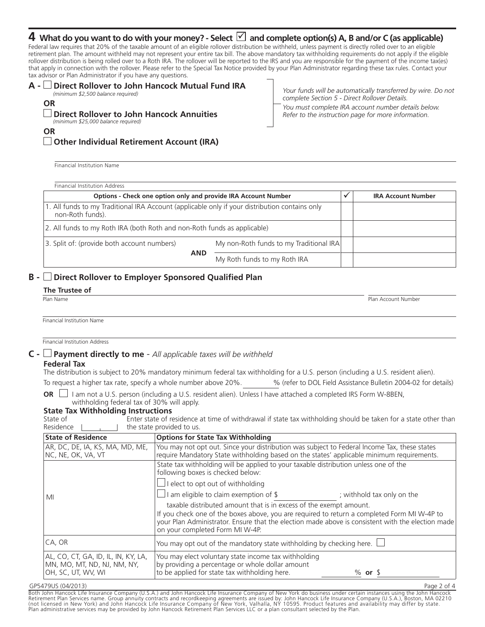## ${\bf 4}\,$  What do you want to do with your money? - Select  $\boxdot$  and complete option(s) A, B and/or C (as applicable)

Federal law requires that 20% of the taxable amount of an eligible rollover distribution be withheld, unless payment is directly rolled over to an eligible retirement plan. The amount withheld may not represent your entire tax bill. The above mandatory tax withholding requirements do not apply if the eligible rollover distribution is being rolled over to a Roth IRA. The rollover will be reported to the IRS and you are responsible for the payment of the income tax(es) that apply in connection with the rollover. Please refer to the Special Tax Notice provided by your Plan Administrator regarding these tax rules. Contact your tax advisor or Plan Administrator if you have any questions.

#### **A - Direct Rollover to John Hancock Mutual Fund IRA** *(minimum \$2,500 balance required)* **OR**

**Direct Rollover to John Hancock Annuities**

*Your funds will be automatically transferred by wire. Do not complete Section 5 - Direct Rollover Details. You must complete IRA account number details below. Refer to the instruction page for more information.*

Page 2 of 4

**OR**

*(minimum \$25,000 balance required)*

**Other Individual Retirement Account (IRA)**

Financial Institution Name

Financial Institution Address **Options - Check one option only and provide IRA Account Number** - **IRA Account Number** 1. All funds to my Traditional IRA Account (applicable only if your distribution contains only non-Roth funds). 2. All funds to my Roth IRA (both Roth and non-Roth funds as applicable) 3. Split of: (provide both account numbers) My non-Roth funds to my Traditional IRA My Roth funds to my Roth IRA **AND**

## **B - Direct Rollover to Employer Sponsored Qualified Plan**

| The Trustee of             |                     |
|----------------------------|---------------------|
| Plan Name                  | Plan Account Number |
|                            |                     |
|                            |                     |
| Financial Institution Name |                     |

Financial Institution Address

#### **C - Payment directly to me** *- All applicable taxes will be withheld*

#### **Federal Tax**

The distribution is subject to 20% mandatory minimum federal tax withholding for a U.S. person (including a U.S. resident alien).

To request a higher tax rate, specify a whole number above 20%. <br>
Wefer to DOL Field Assistance Bulletin 2004-02 for details)

**OR** □ I am not a U.S. person (including a U.S. resident alien). Unless I have attached a completed IRS Form W-8BEN, withholding federal tax of 30% will apply.

#### **State Tax Withholding Instructions**

| State of    | Enter state of residence at time of withdrawal if state tax withholding should be taken for a state other than |
|-------------|----------------------------------------------------------------------------------------------------------------|
| Residence l | $\parallel$ the state provided to us.                                                                          |

| <b>State of Residence</b>                                                                | <b>Options for State Tax Withholding</b>                                                                                                                                                                                                                                                                  |                            |  |  |
|------------------------------------------------------------------------------------------|-----------------------------------------------------------------------------------------------------------------------------------------------------------------------------------------------------------------------------------------------------------------------------------------------------------|----------------------------|--|--|
| AR, DC, DE, IA, KS, MA, MD, ME,<br> NC, NE, OK, VA, VT                                   | You may not opt out. Since your distribution was subject to Federal Income Tax, these states<br>require Mandatory State withholding based on the states' applicable minimum requirements.                                                                                                                 |                            |  |  |
|                                                                                          | State tax withholding will be applied to your taxable distribution unless one of the<br>following boxes is checked below:                                                                                                                                                                                 |                            |  |  |
|                                                                                          | $\Box$ I elect to opt out of withholding                                                                                                                                                                                                                                                                  |                            |  |  |
| MI                                                                                       | I am eligible to claim exemption of \$                                                                                                                                                                                                                                                                    | ; withhold tax only on the |  |  |
|                                                                                          | taxable distributed amount that is in excess of the exempt amount.<br>If you check one of the boxes above, you are required to return a completed Form MI W-4P to<br>your Plan Administrator. Ensure that the election made above is consistent with the election made<br>on your completed Form MI W-4P. |                            |  |  |
| CA, OR                                                                                   | You may opt out of the mandatory state withholding by checking here.                                                                                                                                                                                                                                      |                            |  |  |
| AL, CO, CT, GA, ID, IL, IN, KY, LA,<br>MN, MO, MT, ND, NJ, NM, NY,<br>OH, SC, UT, WV, WI | You may elect voluntary state income tax withholding<br>by providing a percentage or whole dollar amount<br>to be applied for state tax withholding here.                                                                                                                                                 | $%$ or $$$                 |  |  |

#### GP5479US (04/2013)

Both John Hancock Life Insurance Company (U.S.A.) and John Hancock Life Insurance Company of New York do business under certain instances using the John Hancock Retirement Plan Services name. Group annuity contracts and recordkeeping agreements are issued by: John Hancock Life Insurance Company (U.S.A.), Boston, MA 02210<br>(not licensed in New York) and John Hancock Life Insurance C Plan administrative services may be provided by John Hancock Retirement Plan Services LLC or a plan consultant selected by the Plan.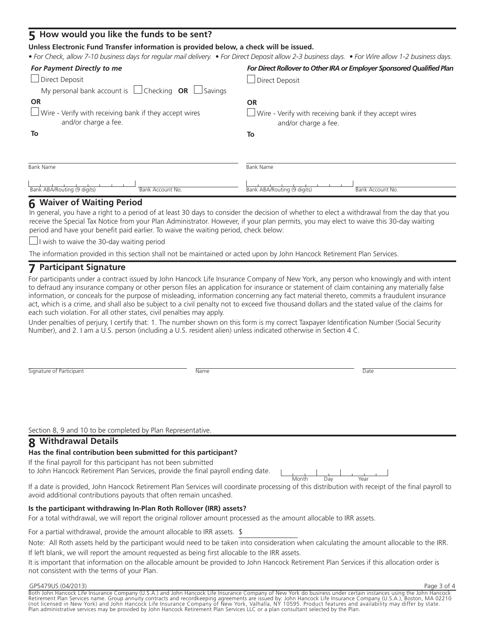### **5 How would you like the funds to be sent?**

#### **Unless Electronic Fund Transfer information is provided below, a check will be issued.**

*• For Check, allow 7-10 business days for regular mail delivery. • For Direct Deposit allow 2-3 business days. • For Wire allow 1-2 business days.*

| For Payment Directly to me                                                                                      | For Direct Rollover to Other IRA or Employer Sponsored Qualified Plan                           |
|-----------------------------------------------------------------------------------------------------------------|-------------------------------------------------------------------------------------------------|
| $\Box$ Direct Deposit                                                                                           | Direct Deposit                                                                                  |
| My personal bank account is $\Box$ Checking <b>OR</b> $\Box$ Savings                                            |                                                                                                 |
| <b>OR</b>                                                                                                       | <b>OR</b>                                                                                       |
| $\Box$ Wire - Verify with receiving bank if they accept wires<br>and/or charge a fee.                           | $\Box$ Wire - Verify with receiving bank if they accept wires<br>and/or charge a fee.           |
| To                                                                                                              | To                                                                                              |
|                                                                                                                 |                                                                                                 |
| <b>Bank Name</b>                                                                                                | <b>Bank Name</b>                                                                                |
| the contract of the contract of the contract of the contract of the contract of the contract of the contract of | the contract of the contract of the contract of the contract of the contract of the contract of |

## **6 Waiver of Waiting Period**

In general, you have a right to a period of at least 30 days to consider the decision of whether to elect a withdrawal from the day that you receive the Special Tax Notice from your Plan Administrator. However, if your plan permits, you may elect to waive this 30-day waiting period and have your benefit paid earlier. To waive the waiting period, check below:

 $\Box$  I wish to waive the 30-day waiting period

Bank ABA/Routing (9 digits) Bank Account No.

The information provided in this section shall not be maintained or acted upon by John Hancock Retirement Plan Services.

## **7 Participant Signature**

For participants under a contract issued by John Hancock Life Insurance Company of New York, any person who knowingly and with intent to defraud any insurance company or other person files an application for insurance or statement of claim containing any materially false information, or conceals for the purpose of misleading, information concerning any fact material thereto, commits a fraudulent insurance act, which is a crime, and shall also be subject to a civil penalty not to exceed five thousand dollars and the stated value of the claims for each such violation. For all other states, civil penalties may apply.

Under penalties of perjury, I certify that: 1. The number shown on this form is my correct Taxpayer Identification Number (Social Security Number), and 2. I am a U.S. person (including a U.S. resident alien) unless indicated otherwise in Section 4 C.

| $\sim$ 1<br>Signature<br>Participant<br>01<br>the contract of the contract of | Name | Dalt<br>. |
|-------------------------------------------------------------------------------|------|-----------|

**Name** 

Section 8, 9 and 10 to be completed by Plan Representative

## **8 Withdrawal Details**

#### **Has the final contribution been submitted for this participant?**

If the final payroll for this participant has not been submitted to John Hancock Retirement Plan Services, provide the final payroll ending date.

| $+h$                                               |        |   |  |
|----------------------------------------------------|--------|---|--|
| .<br>∼<br>÷<br>the contract of the contract of the | $\sim$ | ÷ |  |

Bank ABA/Routing (9 digits) Bank Account No.

If a date is provided, John Hancock Retirement Plan Services will coordinate processing of this distribution with receipt of the final payroll to avoid additional contributions payouts that often remain uncashed.

#### **Is the participant withdrawing In-Plan Roth Rollover (IRR) assets?**

For a total withdrawal, we will report the original rollover amount processed as the amount allocable to IRR assets.

For a partial withdrawal, provide the amount allocable to IRR assets. \$

Note: All Roth assets held by the participant would need to be taken into consideration when calculating the amount allocable to the IRR. If left blank, we will report the amount requested as being first allocable to the IRR assets.

It is important that information on the allocable amount be provided to John Hancock Retirement Plan Services if this allocation order is not consistent with the terms of your Plan.

#### GP5479US (04/2013)

Page 3 of 4

Both John Hancock Life Insurance Company (U.S.A.) and John Hancock Life Insurance Company of New York do business under certain instances using the John Hancock Retirement Plan Services name. Group annuity contracts and recordkeeping agreements are issued by: John Hancock Life Insurance Company (U.S.A.), Boston, MA 02210<br>(not licensed in New York) and John Hancock Life Insurance C Plan administrative services may be provided by John Hancock Retirement Plan Services LLC or a plan consultant selected by the Plan.